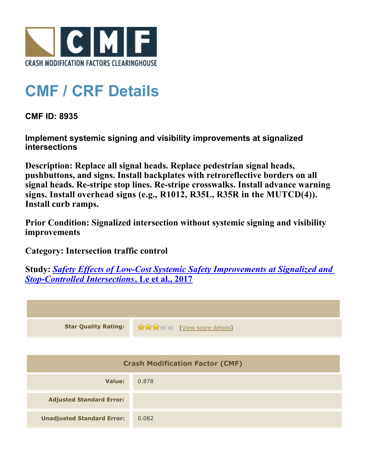

## **CMF / CRF Details**

**CMF ID: 8935**

**Implement systemic signing and visibility improvements at signalized intersections**

**Description: Replace all signal heads. Replace pedestrian signal heads, pushbuttons, and signs. Install backplates with retroreflective borders on all signal heads. Re-stripe stop lines. Re-stripe crosswalks. Install advance warning signs. Install overhead signs (e.g., R1012, R35L, R35R in the MUTCD(4)). Install curb ramps.**

**Prior Condition: Signalized intersection without systemic signing and visibility improvements**

**Category: Intersection traffic control**

**Study:** *[Safety Effects of Low-Cost Systemic Safety Improvements at Signalized and](http://www.cmfclearinghouse.org/study_detail.cfm?stid=492) [Stop-Controlled Intersections](http://www.cmfclearinghouse.org/study_detail.cfm?stid=492)***[, Le et al., 2017](http://www.cmfclearinghouse.org/study_detail.cfm?stid=492)**



| <b>Adjusted Standard Error:</b>   |       |
|-----------------------------------|-------|
| <b>Unadjusted Standard Error:</b> | 0.082 |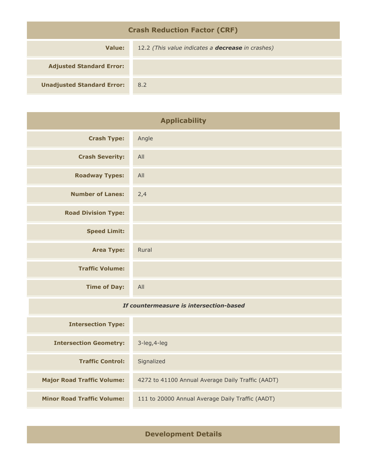| <b>Crash Reduction Factor (CRF)</b> |                                                          |  |
|-------------------------------------|----------------------------------------------------------|--|
| Value:                              | 12.2 (This value indicates a <b>decrease</b> in crashes) |  |
| <b>Adjusted Standard Error:</b>     |                                                          |  |
| <b>Unadjusted Standard Error:</b>   | 8.2                                                      |  |

| <b>Applicability</b>                    |                                                   |
|-----------------------------------------|---------------------------------------------------|
| <b>Crash Type:</b>                      | Angle                                             |
| <b>Crash Severity:</b>                  | All                                               |
| <b>Roadway Types:</b>                   | All                                               |
| <b>Number of Lanes:</b>                 | 2,4                                               |
| <b>Road Division Type:</b>              |                                                   |
| <b>Speed Limit:</b>                     |                                                   |
| <b>Area Type:</b>                       | Rural                                             |
| <b>Traffic Volume:</b>                  |                                                   |
| <b>Time of Day:</b>                     | All                                               |
| If countermeasure is intersection-based |                                                   |
| <b>Intersection Type:</b>               |                                                   |
| <b>Intersection Geometry:</b>           | 3-leg, 4-leg                                      |
| <b>Traffic Control:</b>                 | Signalized                                        |
| <b>Major Road Traffic Volume:</b>       | 4272 to 41100 Annual Average Daily Traffic (AADT) |

**Development Details**

**Minor Road Traffic Volume:** 111 to 20000 Annual Average Daily Traffic (AADT)